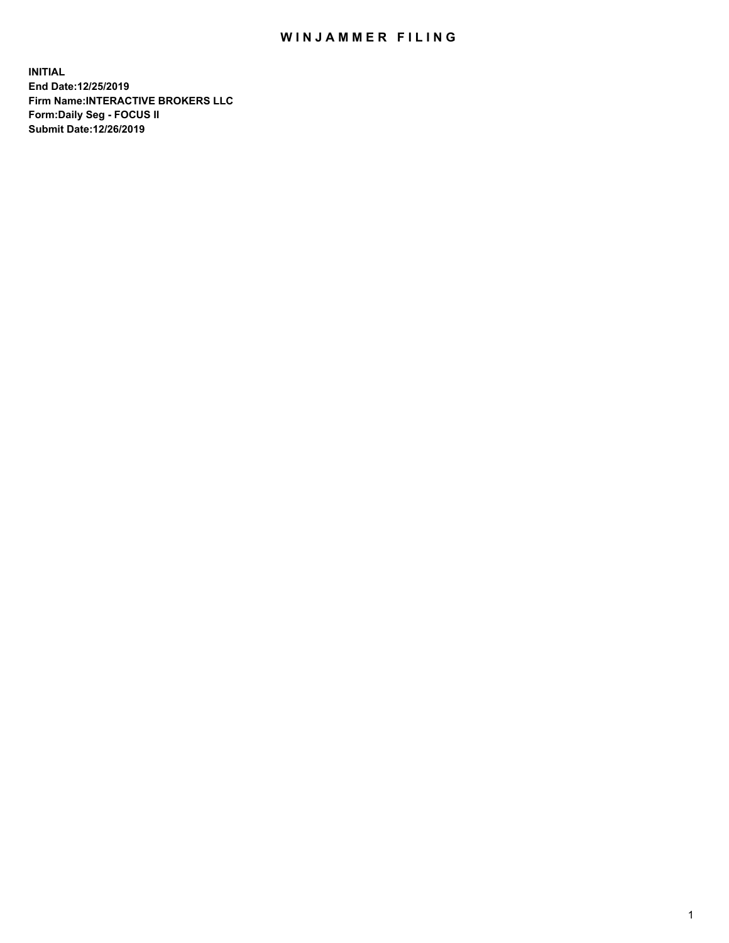## WIN JAMMER FILING

**INITIAL End Date:12/25/2019 Firm Name:INTERACTIVE BROKERS LLC Form:Daily Seg - FOCUS II Submit Date:12/26/2019**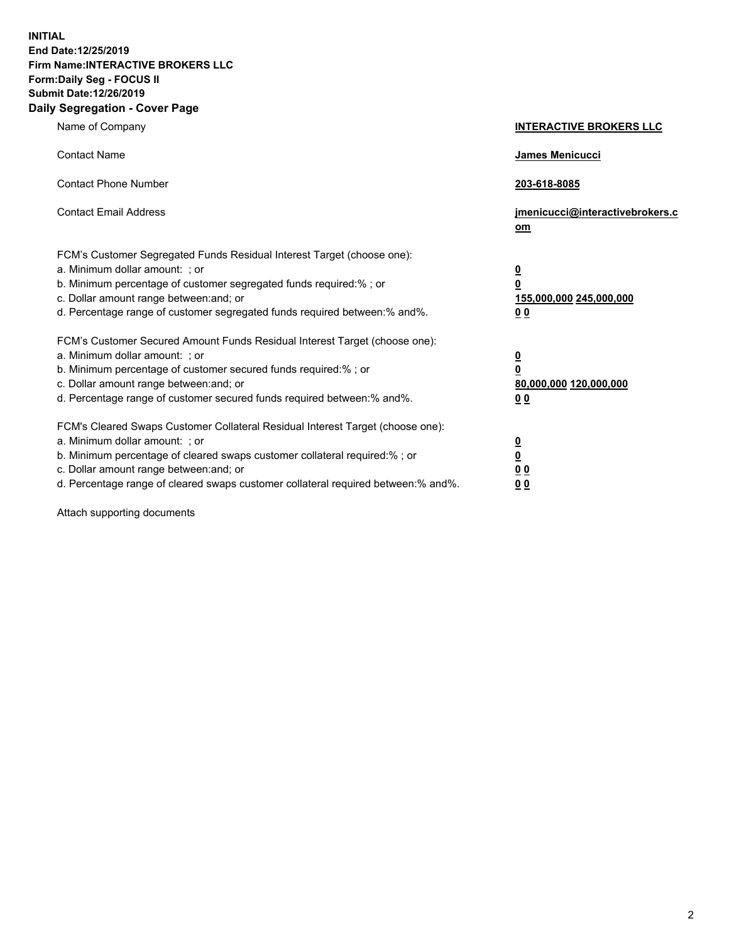**INITIAL End Date:12/25/2019 Firm Name:INTERACTIVE BROKERS LLC Form:Daily Seg - FOCUS II Submit Date:12/26/2019 Daily Segregation - Cover Page**

| Name of Company                                                                                                                                                                                                                                                                                                                | <b>INTERACTIVE BROKERS LLC</b>                                                             |
|--------------------------------------------------------------------------------------------------------------------------------------------------------------------------------------------------------------------------------------------------------------------------------------------------------------------------------|--------------------------------------------------------------------------------------------|
| <b>Contact Name</b>                                                                                                                                                                                                                                                                                                            | James Menicucci                                                                            |
| <b>Contact Phone Number</b>                                                                                                                                                                                                                                                                                                    | 203-618-8085                                                                               |
| <b>Contact Email Address</b>                                                                                                                                                                                                                                                                                                   | jmenicucci@interactivebrokers.c<br>om                                                      |
| FCM's Customer Segregated Funds Residual Interest Target (choose one):<br>a. Minimum dollar amount: ; or<br>b. Minimum percentage of customer segregated funds required:%; or<br>c. Dollar amount range between: and; or<br>d. Percentage range of customer segregated funds required between:% and%.                          | $\overline{\mathbf{0}}$<br>$\overline{\mathbf{0}}$<br>155,000,000 245,000,000<br><u>00</u> |
| FCM's Customer Secured Amount Funds Residual Interest Target (choose one):<br>a. Minimum dollar amount: ; or<br>b. Minimum percentage of customer secured funds required:% ; or<br>c. Dollar amount range between: and; or<br>d. Percentage range of customer secured funds required between:% and%.                           | <u>0</u><br>$\overline{\mathbf{0}}$<br>80,000,000 120,000,000<br>0 <sub>0</sub>            |
| FCM's Cleared Swaps Customer Collateral Residual Interest Target (choose one):<br>a. Minimum dollar amount: ; or<br>b. Minimum percentage of cleared swaps customer collateral required:% ; or<br>c. Dollar amount range between: and; or<br>d. Percentage range of cleared swaps customer collateral required between:% and%. | <u>0</u><br>$\underline{\mathbf{0}}$<br>0 <sub>0</sub><br>0 <sub>0</sub>                   |

Attach supporting documents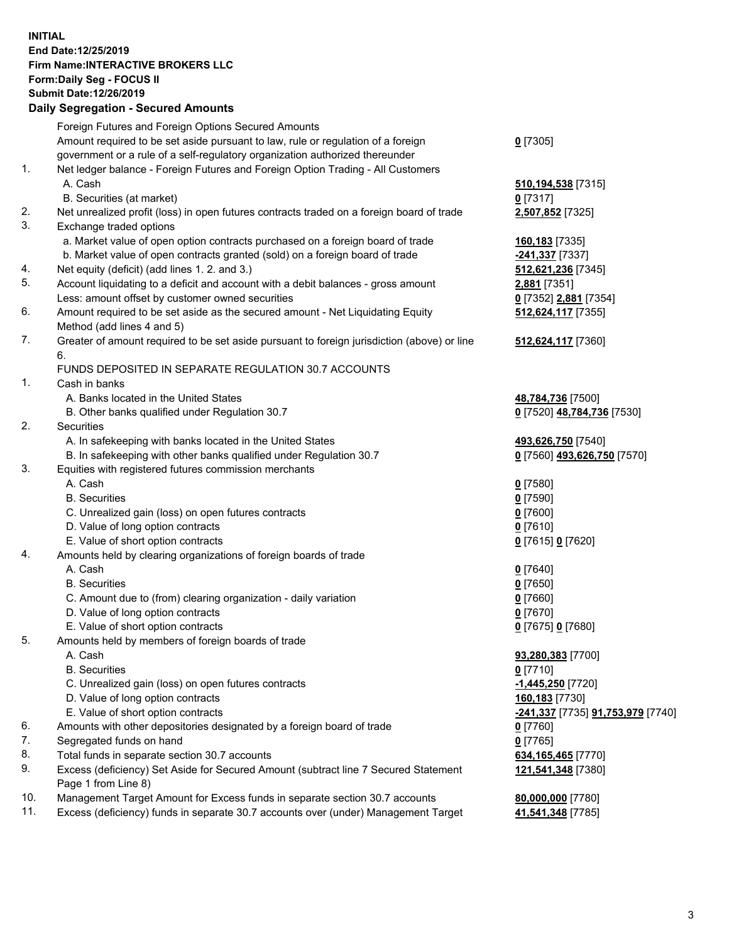## **INITIAL End Date:12/25/2019 Firm Name:INTERACTIVE BROKERS LLC Form:Daily Seg - FOCUS II Submit Date:12/26/2019 Daily Segregation - Secured Amounts**

|     | Daily Segregation - Secured Amounts                                                         |                                                       |
|-----|---------------------------------------------------------------------------------------------|-------------------------------------------------------|
|     | Foreign Futures and Foreign Options Secured Amounts                                         |                                                       |
|     | Amount required to be set aside pursuant to law, rule or regulation of a foreign            | $0$ [7305]                                            |
|     | government or a rule of a self-regulatory organization authorized thereunder                |                                                       |
| 1.  | Net ledger balance - Foreign Futures and Foreign Option Trading - All Customers             |                                                       |
|     | A. Cash                                                                                     | 510, 194, 538 [7315]                                  |
|     | B. Securities (at market)                                                                   | $0$ [7317]                                            |
| 2.  | Net unrealized profit (loss) in open futures contracts traded on a foreign board of trade   | 2,507,852 [7325]                                      |
| 3.  | Exchange traded options                                                                     |                                                       |
|     | a. Market value of open option contracts purchased on a foreign board of trade              | 160,183 [7335]                                        |
|     | b. Market value of open contracts granted (sold) on a foreign board of trade                | -241,337 [7337]                                       |
| 4.  | Net equity (deficit) (add lines 1.2. and 3.)                                                | 512,621,236 [7345]                                    |
| 5.  | Account liquidating to a deficit and account with a debit balances - gross amount           | 2,881 [7351]                                          |
|     | Less: amount offset by customer owned securities                                            | 0 [7352] 2,881 [7354]                                 |
| 6.  | Amount required to be set aside as the secured amount - Net Liquidating Equity              | 512,624,117 [7355]                                    |
|     | Method (add lines 4 and 5)                                                                  |                                                       |
| 7.  | Greater of amount required to be set aside pursuant to foreign jurisdiction (above) or line | 512,624,117 [7360]                                    |
|     | 6.                                                                                          |                                                       |
|     | FUNDS DEPOSITED IN SEPARATE REGULATION 30.7 ACCOUNTS                                        |                                                       |
| 1.  | Cash in banks                                                                               |                                                       |
|     | A. Banks located in the United States                                                       | 48,784,736 [7500]                                     |
|     | B. Other banks qualified under Regulation 30.7                                              | 0 [7520] 48,784,736 [7530]                            |
| 2.  | Securities                                                                                  |                                                       |
|     | A. In safekeeping with banks located in the United States                                   | 493,626,750 [7540]                                    |
|     | B. In safekeeping with other banks qualified under Regulation 30.7                          | 0 [7560] 493,626,750 [7570]                           |
| 3.  | Equities with registered futures commission merchants                                       |                                                       |
|     | A. Cash                                                                                     | $0$ [7580]                                            |
|     | <b>B.</b> Securities                                                                        | $0$ [7590]                                            |
|     | C. Unrealized gain (loss) on open futures contracts                                         | $0$ [7600]                                            |
|     | D. Value of long option contracts                                                           | $0$ [7610]                                            |
|     | E. Value of short option contracts                                                          | 0 [7615] 0 [7620]                                     |
| 4.  | Amounts held by clearing organizations of foreign boards of trade                           |                                                       |
|     | A. Cash                                                                                     |                                                       |
|     | <b>B.</b> Securities                                                                        | $0$ [7640]<br>$0$ [7650]                              |
|     | C. Amount due to (from) clearing organization - daily variation                             | $0$ [7660]                                            |
|     | D. Value of long option contracts                                                           |                                                       |
|     |                                                                                             | $0$ [7670]                                            |
| 5.  | E. Value of short option contracts                                                          | 0 [7675] 0 [7680]                                     |
|     | Amounts held by members of foreign boards of trade                                          |                                                       |
|     | A. Cash                                                                                     | 93,280,383 [7700]                                     |
|     | <b>B.</b> Securities                                                                        | $0$ [7710]                                            |
|     | C. Unrealized gain (loss) on open futures contracts                                         | -1,445,250 [7720]                                     |
|     | D. Value of long option contracts                                                           | 160,183 [7730]                                        |
|     | E. Value of short option contracts                                                          | <mark>-241,337</mark> [7735] <b>91,753,979</b> [7740] |
| 6.  | Amounts with other depositories designated by a foreign board of trade                      | $0$ [7760]                                            |
| 7.  | Segregated funds on hand                                                                    | $0$ [7765]                                            |
| 8.  | Total funds in separate section 30.7 accounts                                               | 634, 165, 465 [7770]                                  |
| 9.  | Excess (deficiency) Set Aside for Secured Amount (subtract line 7 Secured Statement         | 121,541,348 [7380]                                    |
|     | Page 1 from Line 8)                                                                         |                                                       |
| 10. | Management Target Amount for Excess funds in separate section 30.7 accounts                 | 80,000,000 [7780]                                     |
| 11. | Excess (deficiency) funds in separate 30.7 accounts over (under) Management Target          | 41,541,348 [7785]                                     |
|     |                                                                                             |                                                       |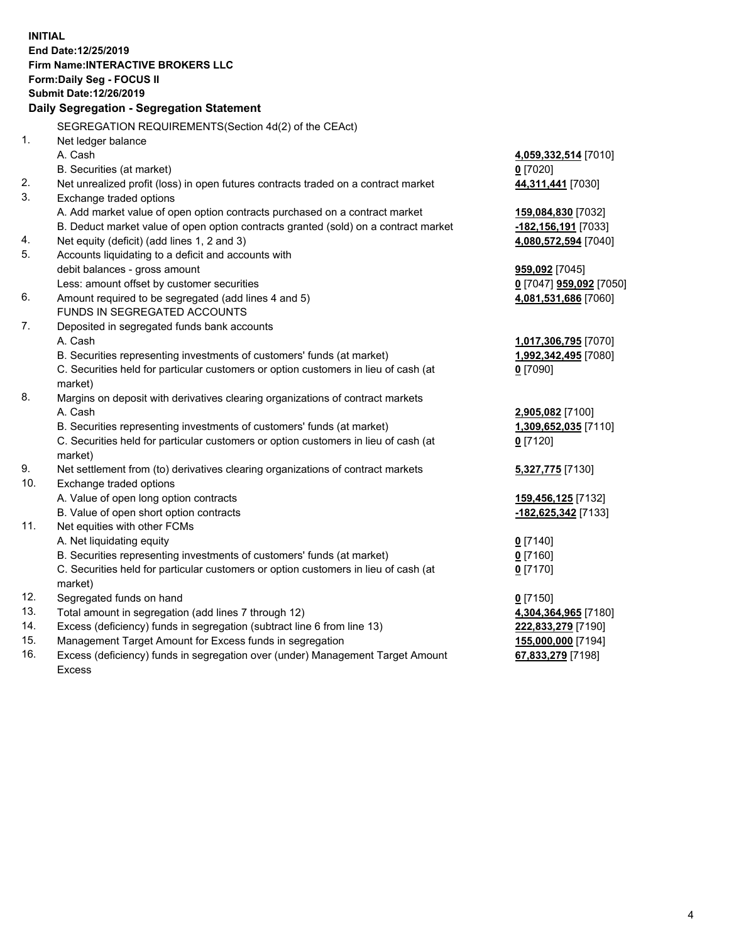**INITIAL End Date:12/25/2019 Firm Name:INTERACTIVE BROKERS LLC Form:Daily Seg - FOCUS II Submit Date:12/26/2019 Daily Segregation - Segregation Statement** SEGREGATION REQUIREMENTS(Section 4d(2) of the CEAct) 1. Net ledger balance A. Cash **4,059,332,514** [7010] B. Securities (at market) **0** [7020] 2. Net unrealized profit (loss) in open futures contracts traded on a contract market **44,311,441** [7030] 3. Exchange traded options A. Add market value of open option contracts purchased on a contract market **159,084,830** [7032] B. Deduct market value of open option contracts granted (sold) on a contract market **-182,156,191** [7033] 4. Net equity (deficit) (add lines 1, 2 and 3) **4,080,572,594** [7040] 5. Accounts liquidating to a deficit and accounts with debit balances - gross amount **959,092** [7045] Less: amount offset by customer securities **0** [7047] **959,092** [7050] 6. Amount required to be segregated (add lines 4 and 5) **4,081,531,686** [7060] FUNDS IN SEGREGATED ACCOUNTS 7. Deposited in segregated funds bank accounts A. Cash **1,017,306,795** [7070] B. Securities representing investments of customers' funds (at market) **1,992,342,495** [7080] C. Securities held for particular customers or option customers in lieu of cash (at market) **0** [7090] 8. Margins on deposit with derivatives clearing organizations of contract markets A. Cash **2,905,082** [7100] B. Securities representing investments of customers' funds (at market) **1,309,652,035** [7110] C. Securities held for particular customers or option customers in lieu of cash (at market) **0** [7120] 9. Net settlement from (to) derivatives clearing organizations of contract markets **5,327,775** [7130] 10. Exchange traded options A. Value of open long option contracts **159,456,125** [7132] B. Value of open short option contracts **-182,625,342** [7133] 11. Net equities with other FCMs A. Net liquidating equity **0** [7140] B. Securities representing investments of customers' funds (at market) **0** [7160] C. Securities held for particular customers or option customers in lieu of cash (at market) **0** [7170] 12. Segregated funds on hand **0** [7150] 13. Total amount in segregation (add lines 7 through 12) **4,304,364,965** [7180] 14. Excess (deficiency) funds in segregation (subtract line 6 from line 13) **222,833,279** [7190] 15. Management Target Amount for Excess funds in segregation **155,000,000** [7194] **67,833,279** [7198]

16. Excess (deficiency) funds in segregation over (under) Management Target Amount Excess